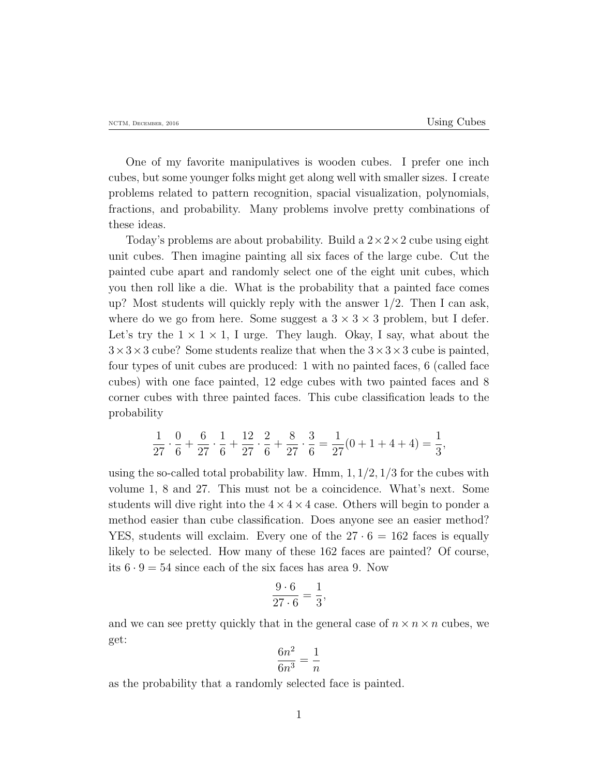One of my favorite manipulatives is wooden cubes. I prefer one inch cubes, but some younger folks might get along well with smaller sizes. I create problems related to pattern recognition, spacial visualization, polynomials, fractions, and probability. Many problems involve pretty combinations of these ideas.

Today's problems are about probability. Build a 2*×*2*×*2 cube using eight unit cubes. Then imagine painting all six faces of the large cube. Cut the painted cube apart and randomly select one of the eight unit cubes, which you then roll like a die. What is the probability that a painted face comes up? Most students will quickly reply with the answer 1*/*2. Then I can ask, where do we go from here. Some suggest a  $3 \times 3 \times 3$  problem, but I defer. Let's try the  $1 \times 1 \times 1$ , I urge. They laugh. Okay, I say, what about the 3*×*3*×*3 cube? Some students realize that when the 3*×*3*×*3 cube is painted, four types of unit cubes are produced: 1 with no painted faces, 6 (called face cubes) with one face painted, 12 edge cubes with two painted faces and 8 corner cubes with three painted faces. This cube classification leads to the probability

$$
\frac{1}{27} \cdot \frac{0}{6} + \frac{6}{27} \cdot \frac{1}{6} + \frac{12}{27} \cdot \frac{2}{6} + \frac{8}{27} \cdot \frac{3}{6} = \frac{1}{27}(0 + 1 + 4 + 4) = \frac{1}{3},
$$

using the so-called total probability law. Hmm, 1*,* 1*/*2*,* 1*/*3 for the cubes with volume 1, 8 and 27. This must not be a coincidence. What's next. Some students will dive right into the  $4 \times 4 \times 4$  case. Others will begin to ponder a method easier than cube classification. Does anyone see an easier method? YES, students will exclaim. Every one of the  $27 \cdot 6 = 162$  faces is equally likely to be selected. How many of these 162 faces are painted? Of course, its  $6 \cdot 9 = 54$  since each of the six faces has area 9. Now

$$
\frac{9 \cdot 6}{27 \cdot 6} = \frac{1}{3},
$$

and we can see pretty quickly that in the general case of  $n \times n \times n$  cubes, we get:

$$
\frac{6n^2}{6n^3} = \frac{1}{n}
$$

as the probability that a randomly selected face is painted.